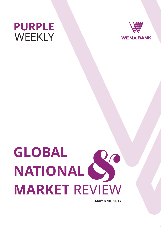



# **GLOBAL NATIONAL MARKET** REVIEW  $\sum_{n=1}^{\infty}$

**March 10, 2017**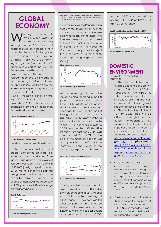## **GLOBAL ECONOMY**

e begin our report this<br>Weekly with a review of February's Purchasing Managers Index (PMI). China and Japan showed an increase in new orders, leading manufacturing firms to raise output and hiring (except China). There were concerns regarding export (decline in Japan's automobile export to the U.S). The Eurozone continued w ith its momentum as the month of February recorded an increase in manufacturing activities and most notably inflation, resulting from the weaker Euro, higher input prices and increased staff cost.

Globally, the rate of expansion rose from 52.7 points (Jan'17) to 52.9 points (Feb'17). Growth in emerging economies remained weaker than that in developed economies.



**Source: Bloomberg, Wema Bank** 

Index above 50 = expansion; below 50 = contraction.

U.S Fed Chair Janet Yellen elicited greater confidence on a possible increase rate hike starting from March, just as investors awaited February jobs report which came in at 235,000 (best job report since July 2016). We note that the dollar has strengthened on the back of the expected strong numbers. U.S unemployment declined in February to 4.7% (previously 4.8%) while wage growth increased by 2.8%.



The decline was recorded was post ECB monetary policy conference in which Mario Draghi gave a hawkish outlook on the Eurozone.

Still on currencies, the Pound Sterling came under pressure this week as reported consumer spending was below forecast. Furthermore, the Theresa May-ledgovernment suffered a setback from the House of Lords (giving the House of Commons more powers to reject the final terms of Britain's exit), regarding the triggering of Article 50 (Brexit).





**Source: Bloomberg, Wema Bank** 

With economic growth and price increase being recorded in the E.U (chart 1). The European Central Bank (ECB) at its March policy decision stated that it was less necessary to prop up the market through ultra-loose monetary policy (€80 billion monthly asset purchase) which had totaled €2.3 trillion while raising 2018e economic growth to 1.7% from an earlier 1.6%. Headline Inflation forecast for 2018e was raised to 1.6% from 1.5%. On the back of the monetary decision was an appreciation in the Euro and an increase in Bond yields, as the market began pricing a rate hike.



**Source: Bloomberg, Wema Bank** 

Crude prices led discussions again, as rising inventories in the U.S, led to Brent crude trading at \$51.37/barrel with WTI crude trading at \$48.49/barrel. U.S inventory rose this week by 8.2mb vs 2mb (forecast) bringing total inventory stock to 528.4mb. While this has cast doubts on last year's production cuts, OPEC

and non OPEC members will be meeting in Kuwait (March 26<sup>th</sup> 2017) to review compliance.





**Source: Bloomberg, Wema Bank** 

### **DOMESTIC ENVIRONMENT**

This week, we recorded the following;

- 1. The release of the much awaited economic and growth plan  $(2017 - 2020)$ . Subsequently, we expect its submission to multi-lateral institutions allowing the FGN access to critical funding, as it seeks to achieve a growth rate of 7% while keeping inflation at 10% by 2020. This will be attained through increased output, the opening of new farmlands, boosting investment in power and ports in order to diversify her revenue stream. The EGP report can be found on http://www.nationalplanning. gov.ng /index [.php/news](http://www.nationalplanning.gov.ng/index.php/news-media/news/current-news/780-federal-republic-of-nigeria-economic-recovery-growth-plan-2017-2020)[m](http://www.nationalplanning.gov.ng/index.php/news-media/news/current-news/780-federal-republic-of-nigeria-economic-recovery-growth-plan-2017-2020) e d i a / n e w s / c u r r e n t [news/780-federal-republic-of](http://www.nationalplanning.gov.ng/index.php/news-media/news/current-news/780-federal-republic-of-nigeria-economic-recovery-growth-plan-2017-2020)[nigeria-economic-recovery](http://www.nationalplanning.gov.ng/index.php/news-media/news/current-news/780-federal-republic-of-nigeria-economic-recovery-growth-plan-2017-2020)[growth-plan-2017-2020](http://www.nationalplanning.gov.ng/index.php/news-media/news/current-news/780-federal-republic-of-nigeria-economic-recovery-growth-plan-2017-2020)
- 2. The CBN continued with its intervention in the foreign exchange market through its weekly sale of dollars (forwards and spot). Dollar prices in the parallel market appreciated by 0.43% from NGN465/\$ (March 3, 2017) to NGN463 /\$ (March 10, 2017).
- 3. The National Bureau of Statistics (NBS) reported the country's Q4 and 2016 trade numbers. In Q4'16, Nigeria recorded a trade surplus of NGN671.3 billion, with both import and export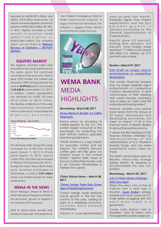reported as NGN2,307.6 billion and NGN2, 978.9 billion respectively. Oil export remained Nigeria's dominant export at NGN2,425.4 billion (81.4%). In 2016, Nigeria recorded a 6.5% growth in external trade ( N G N 1 7 , 3 4 5 . 0 b illion v s . NGN16,286.4 billion). The complete report can be found on National Bureau of Statistics | REPORT [DETAILS](http://nigerianstat.gov.ng/report/519)

#### **EQUITIES MARKET**

The Nigerian All-Share Index (ASI) recorded a lack luster performance this week, given the continued uncertainty in the economy. Year to date (YTD) ended, the market has declined 6.09% having opened the year at **26,874.62** points and closed a**t 25,238.01** points (March 10, 2017). In addition, market capitalization has declined by 5.42% YTD from N9.23 trillion to N8.73 trillion. The decline is reflective of the weak macro-economic environment which continues to characterize the Nigerian economy.

#### **Chart 6: NSE ASI (Jan. – Mar. 10, 2017)**



The Banking Index during the week increased by 0.10% from 276.09 points (March 3, 2017) to 276.36 points (March 10, 2017). Year–to –Date (YTD), the index has increased 0.74% from 274.32 points (Jan, 2017). During the week, Wema Bank share price remained unchanged at N0.50/share. A total of **0.35 million** shares was traded during the week under review.

#### **WEMA IN THE NEWS**

Dotun Ifebogun (Head of Retail & SME) talks about the place of SMEs in the economic growth of Nigeria in an interview with Vanguard.

Staff of Wema Bank donate their salaries for February 14 to patients at

the Children's Emergency Ward of three state-owned hospitals in Lagos, Port Harcourt and Abuja. The initiative is tagged Purple Nectar and the theme is Salary for Love.



## **WEMA BANK**  MEDIA HIGHLIGHTS

#### **Bloomberg – March 08, 2017**

#### [Kenya Wants to Double U.S Coffee](https://www.bloomberg.com/news/articles/2017-03-08/kenya-aims-at-doubling-u-s-coffee-shipments-in-two-years-time?cmpid=socialflow-twitter-business&utm_content=business&utm_campaign=socialflow-organic&utm_source=twitter&utm_medium=social)  **[Shipments](https://www.bloomberg.com/news/articles/2017-03-08/kenya-aims-at-doubling-u-s-coffee-shipments-in-two-years-time?cmpid=socialflow-twitter-business&utm_content=business&utm_campaign=socialflow-organic&utm_source=twitter&utm_medium=social)**

Kenya plans on doubling its coffee exports to the U.S., the world's largest consumer of the beverage, by marketing the East African nation's specialty premium grade beans.

"North America is a big market for specialty coffee and we expect the visibility Kenyan coffee gets will help grow our market share in the United States," Kiplimo Melli, head of Kenya's Coffee Directorate, said in an interview Wednesday in Nairobi, the capital.

#### **China Xinhua News – March 08, 2017**

#### '[Chinas Foreign Trade Data Shows](http://news.xinhuanet.com/english/2017-03/08/c_136113210.htm)  [Signs of Stabilizing Economy](http://news.xinhuanet.com/english/2017-03/08/c_136113210.htm)

China's foreign trade retained robust growth in the first two months of the year, adding to signs of a stabilizing economy, customs data showed Wednesday.

Imports in yuan-denominated

year-on- year last month, markedly higher than market expectations and the 25.2 percent growth in January,according to the General Administration of Customs (GAC).

Exports grew 4.2 percent, slowing from January's 15.9 percent. Total foreign trade reached 1.71 trillion yuan (nearly 250 billion U.S. dollars), up 21.9 percent year on year.

#### **Reuters – March 07, 2017**

#### G20 Draft no longer rejects protectionism or competitive devaluations

The world's financial leaders may no longer explicitly reject protectionism or competitive currency devaluations, a draft communique of their meeting next week showed, promising only to keep an "open and fair international trading system".

Finance ministers and central bank heads from the Group of 20 major developed and developing economies will meet on March 17-18 in the German town of Baden Baden to discuss the world economy.

It will be the first meeting of G20 finance ministers attended by representatives of the administration of U.S. President Donald Trump, who has more protectionist policy views on trade.

The draft communique seen by Reuters, which may change before March 18, appears to accommodate the new U.S. position.

#### **Bloomberg – March 03, 2017**

#### [A Fit U.S Shale Industry Challenges](https://www.bloomberg.com/news/articles/2017-03-03/leaner-fitter-faster-u-s-shale-oil-2-0-challenges-opec-again?cmpid=socialflow-twitter-business&utm_content=business&utm_campaign=socialflow-organic&utm_source=twitter&utm_medium=social)  [OPEC Once Agai](https://www.bloomberg.com/news/articles/2017-03-03/leaner-fitter-faster-u-s-shale-oil-2-0-challenges-opec-again?cmpid=socialflow-twitter-business&utm_content=business&utm_campaign=socialflow-organic&utm_source=twitter&utm_medium=social)[n](https://www.bloomberg.com/news/articles/2017-03-03/leaner-fitter-faster-u-s-shale-oil-2-0-challenges-opec-again?cmpid=socialflow-twitter-business&utm_content=business&utm_campaign=socialflow-organic&utm_source=twitter&utm_medium=social)

When the who's who of the oil industry met a year ago in Houston, [Saudi Arabia](https://www.bloomberg.com/quote/3344642Z:AB)'s energy minister had harsh words for U.S. shale drillers struggling with the worst price crash in a generation.

"Lower costs, borrow cash or liquidate," said Ali Naimi, who managed the world's largest oil-